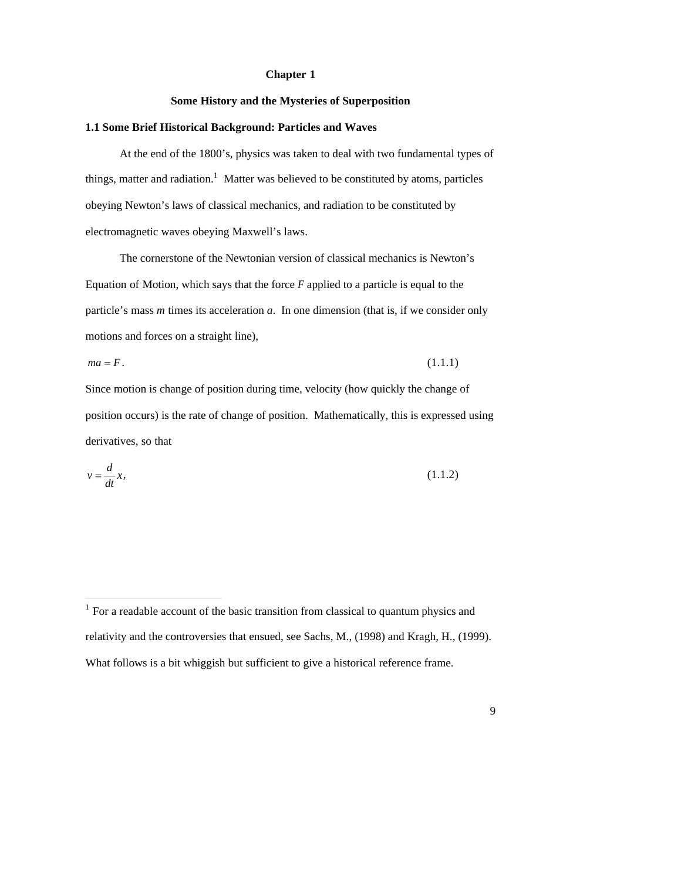# **Chapter 1**

#### **Some History and the Mysteries of Superposition**

#### **1.1 Some Brief Historical Background: Particles and Waves**

At the end of the 1800's, physics was taken to deal with two fundamental types of things, matter and radiation.<sup>1</sup> Matter was believed to be constituted by atoms, particles obeying Newton's laws of classical mechanics, and radiation to be constituted by electromagnetic waves obeying Maxwell's laws.

The cornerstone of the Newtonian version of classical mechanics is Newton's Equation of Motion, which says that the force *F* applied to a particle is equal to the particle's mass *m* times its acceleration *a*. In one dimension (that is, if we consider only motions and forces on a straight line),

 $ma = F$ . (1.1.1)

Since motion is change of position during time, velocity (how quickly the change of position occurs) is the rate of change of position. Mathematically, this is expressed using derivatives, so that

$$
v = \frac{d}{dt}x,\tag{1.1.2}
$$

-

<sup>&</sup>lt;sup>1</sup> For a readable account of the basic transition from classical to quantum physics and relativity and the controversies that ensued, see Sachs, M., (1998) and Kragh, H., (1999). What follows is a bit whiggish but sufficient to give a historical reference frame.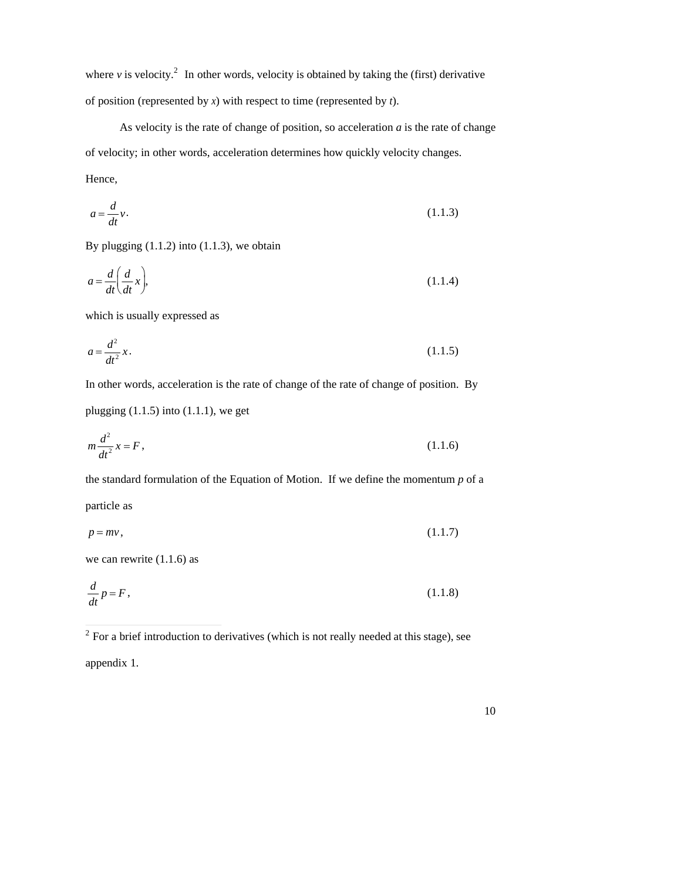where  $\nu$  is velocity.<sup>2</sup> In other words, velocity is obtained by taking the (first) derivative of position (represented by *x*) with respect to time (represented by *t*).

As velocity is the rate of change of position, so acceleration *a* is the rate of change of velocity; in other words, acceleration determines how quickly velocity changes.

Hence,

$$
a = \frac{d}{dt}v.\tag{1.1.3}
$$

By plugging (1.1.2) into (1.1.3), we obtain

$$
a = \frac{d}{dt} \left( \frac{d}{dt} x \right),\tag{1.1.4}
$$

which is usually expressed as

$$
a = \frac{d^2}{dt^2}x.\tag{1.1.5}
$$

In other words, acceleration is the rate of change of the rate of change of position. By

plugging  $(1.1.5)$  into  $(1.1.1)$ , we get

$$
m\frac{d^2}{dt^2}x = F,
$$
\t(1.1.6)

the standard formulation of the Equation of Motion. If we define the momentum *p* of a

particle as

$$
p = mv, \tag{1.1.7}
$$

we can rewrite (1.1.6) as

$$
\frac{d}{dt}p = F,\tag{1.1.8}
$$

appendix 1.

<sup>&</sup>lt;sup>2</sup> For a brief introduction to derivatives (which is not really needed at this stage), see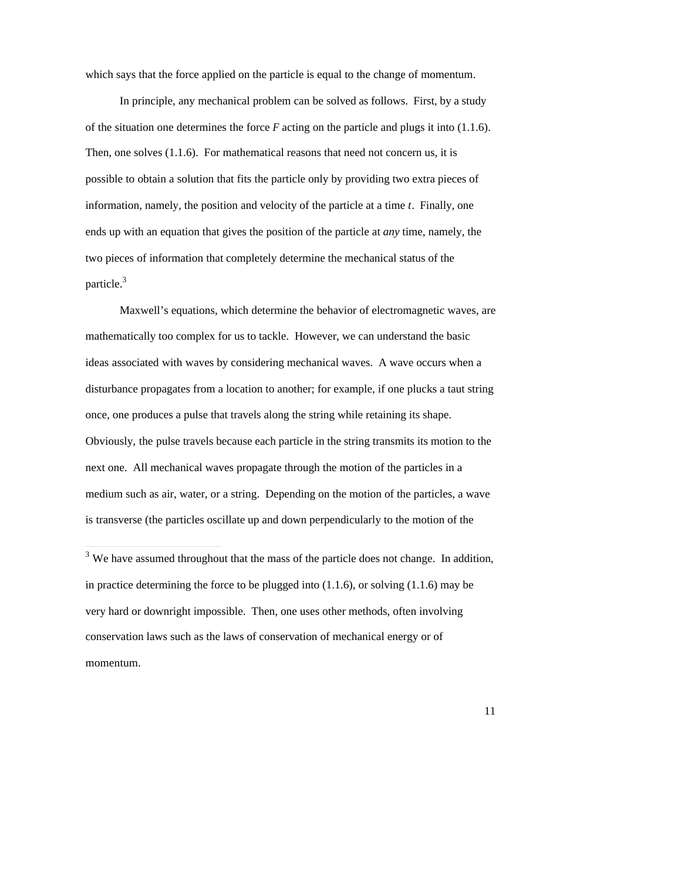which says that the force applied on the particle is equal to the change of momentum.

In principle, any mechanical problem can be solved as follows. First, by a study of the situation one determines the force *F* acting on the particle and plugs it into (1.1.6). Then, one solves (1.1.6). For mathematical reasons that need not concern us, it is possible to obtain a solution that fits the particle only by providing two extra pieces of information, namely, the position and velocity of the particle at a time *t*. Finally, one ends up with an equation that gives the position of the particle at *any* time, namely, the two pieces of information that completely determine the mechanical status of the particle.<sup>3</sup>

Maxwell's equations, which determine the behavior of electromagnetic waves, are mathematically too complex for us to tackle. However, we can understand the basic ideas associated with waves by considering mechanical waves. A wave occurs when a disturbance propagates from a location to another; for example, if one plucks a taut string once, one produces a pulse that travels along the string while retaining its shape. Obviously, the pulse travels because each particle in the string transmits its motion to the next one. All mechanical waves propagate through the motion of the particles in a medium such as air, water, or a string. Depending on the motion of the particles, a wave is transverse (the particles oscillate up and down perpendicularly to the motion of the

 $\frac{3}{3}$  We have assumed throughout that the mass of the particle does not change. In addition, in practice determining the force to be plugged into  $(1.1.6)$ , or solving  $(1.1.6)$  may be very hard or downright impossible. Then, one uses other methods, often involving conservation laws such as the laws of conservation of mechanical energy or of momentum.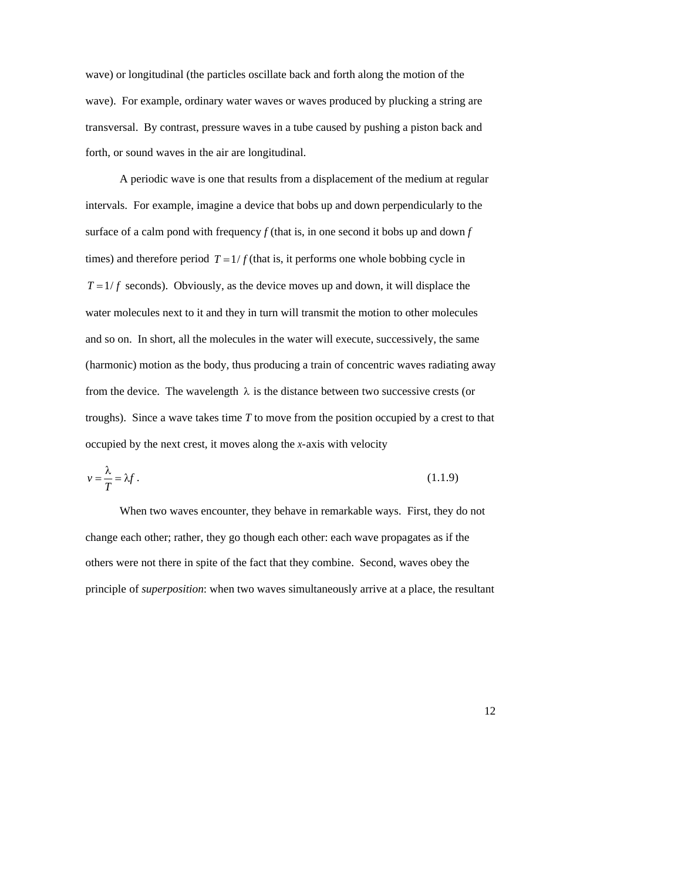wave) or longitudinal (the particles oscillate back and forth along the motion of the wave). For example, ordinary water waves or waves produced by plucking a string are transversal. By contrast, pressure waves in a tube caused by pushing a piston back and forth, or sound waves in the air are longitudinal.

A periodic wave is one that results from a displacement of the medium at regular intervals. For example, imagine a device that bobs up and down perpendicularly to the surface of a calm pond with frequency  $f$  (that is, in one second it bobs up and down  $f$ times) and therefore period  $T = 1/f$  (that is, it performs one whole bobbing cycle in water molecules next to it and they in turn will transmit the motion to other molecules  $T = 1/f$  seconds). Obviously, as the device moves up and down, it will displace the and so on. In short, all the molecules in the water will execute, successively, the same (harmonic) motion as the body, thus producing a train of concentric waves radiating away from the device. The wavelength  $\lambda$  is the distance between two successive crests (or troughs). Since a wave takes time *T* to move from the position occupied by a crest to that occupied by the next crest, it moves along the *x*-axis with velocity

$$
v = \frac{\lambda}{T} = \lambda f. \tag{1.1.9}
$$

When two waves encounter, they behave in remarkable ways. First, they do not change each other; rather, they go though each other: each wave propagates as if the others were not there in spite of the fact that they combine. Second, waves obey the principle of *superposition*: when two waves simultaneously arrive at a place, the resultant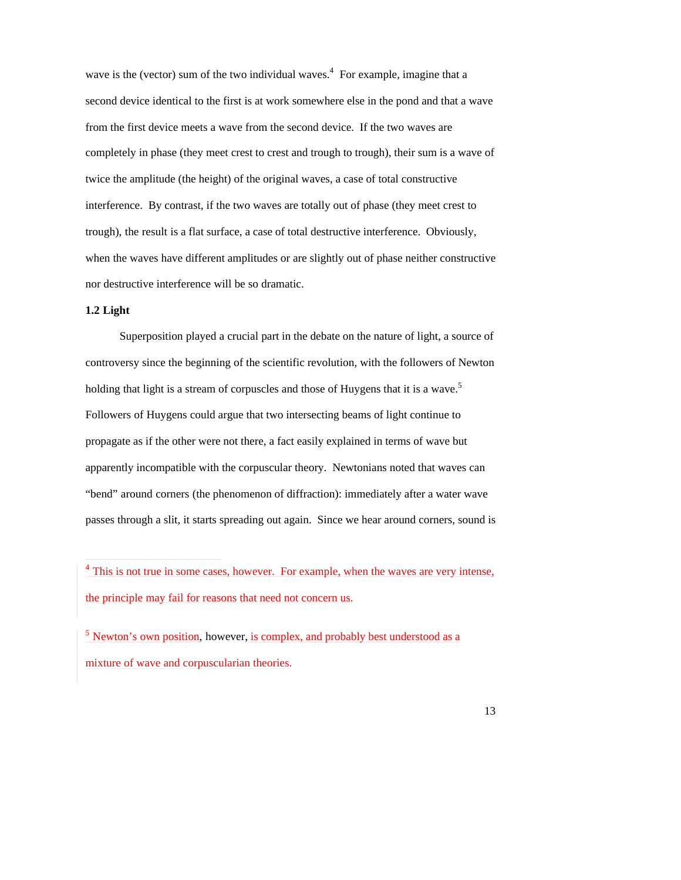wave is the (vector) sum of the two individual waves.<sup>4</sup> For example, imagine that a second device identical to the first is at work somewhere else in the pond and that a wave from the first device meets a wave from the second device. If the two waves are completely in phase (they meet crest to crest and trough to trough), their sum is a wave of twice the amplitude (the height) of the original waves, a case of total constructive interference. By contrast, if the two waves are totally out of phase (they meet crest to trough), the result is a flat surface, a case of total destructive interference. Obviously, when the waves have different amplitudes or are slightly out of phase neither constructive nor destructive interference will be so dramatic.

# **1.2 Light**

Superposition played a crucial part in the debate on the nature of light, a source of controversy since the beginning of the scientific revolution, with the followers of Newton holding that light is a stream of corpuscles and those of Huygens that it is a wave.<sup>5</sup> Followers of Huygens could argue that two intersecting beams of light continue to propagate as if the other were not there, a fact easily explained in terms of wave but apparently incompatible with the corpuscular theory. Newtonians noted that waves can "bend" around corners (the phenomenon of diffraction): immediately after a water wave passes through a slit, it starts spreading out again. Since we hear around corners, sound is

<sup>&</sup>lt;sup>4</sup> This is not true in some cases, however. For example, when the waves are very intense, the principle may fail for reasons that need not concern us.

 $\frac{5}{5}$  Newton's own position, however, is complex, and probably best understood as a mixture of wave and corpuscularian theories.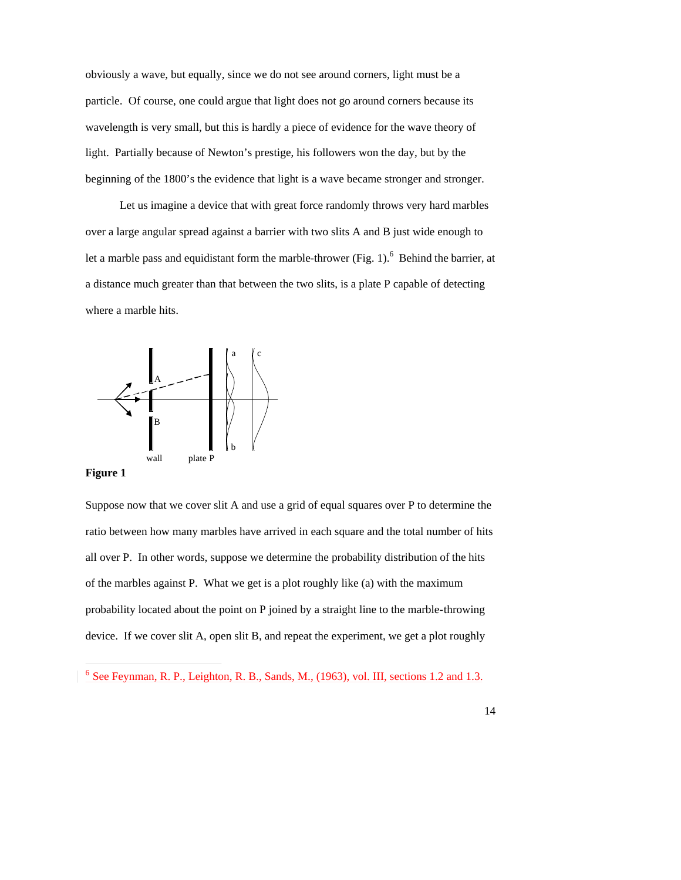obviously a wave, but equally, since we do not see around corners, light must be a particle. Of course, one could argue that light does not go around corners because its wavelength is very small, but this is hardly a piece of evidence for the wave theory of light. Partially because of Newton's prestige, his followers won the day, but by the beginning of the 1800's the evidence that light is a wave became stronger and stronger.

Let us imagine a device that with great force randomly throws very hard marbles over a large angular spread against a barrier with two slits A and B just wide enough to let a marble pass and equidistant form the marble-thrower (Fig. 1).<sup>6</sup> Behind the barrier, at a distance much greater than that between the two slits, is a plate P capable of detecting where a marble hits.



**Figure 1**

-

Suppose now that we cover slit A and use a grid of equal squares over P to determine the ratio between how many marbles have arrived in each square and the total number of hits all over P. In other words, suppose we determine the probability distribution of the hits of the marbles against P. What we get is a plot roughly like (a) with the maximum probability located about the point on P joined by a straight line to the marble-throwing device. If we cover slit A, open slit B, and repeat the experiment, we get a plot roughly

<sup>&</sup>lt;sup>6</sup> See Feynman, R. P., Leighton, R. B., Sands, M., (1963), vol. III, sections 1.2 and 1.3.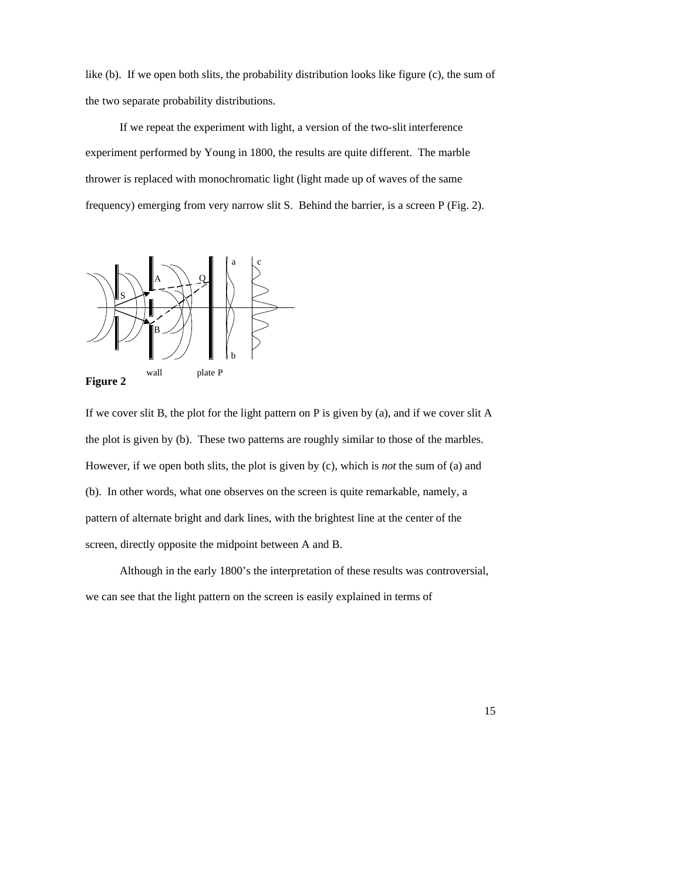like (b). If we open both slits, the probability distribution looks like figure (c), the sum of the two separate probability distributions.

If we repeat the experiment with light, a version of the two-slit interference experiment performed by Young in 1800, the results are quite different. The marble thrower is replaced with monochromatic light (light made up of waves of the same frequency) emerging from very narrow slit S. Behind the barrier, is a screen P (Fig. 2).





If we cover slit B, the plot for the light pattern on P is given by (a), and if we cover slit A the plot is given by (b). These two patterns are roughly similar to those of the marbles. However, if we open both slits, the plot is given by (c), which is *not* the sum of (a) and (b). In other words, what one observes on the screen is quite remarkable, namely, a pattern of alternate bright and dark lines, with the brightest line at the center of the screen, directly opposite the midpoint between A and B.

Although in the early 1800's the interpretation of these results was controversial, we can see that the light pattern on the screen is easily explained in terms of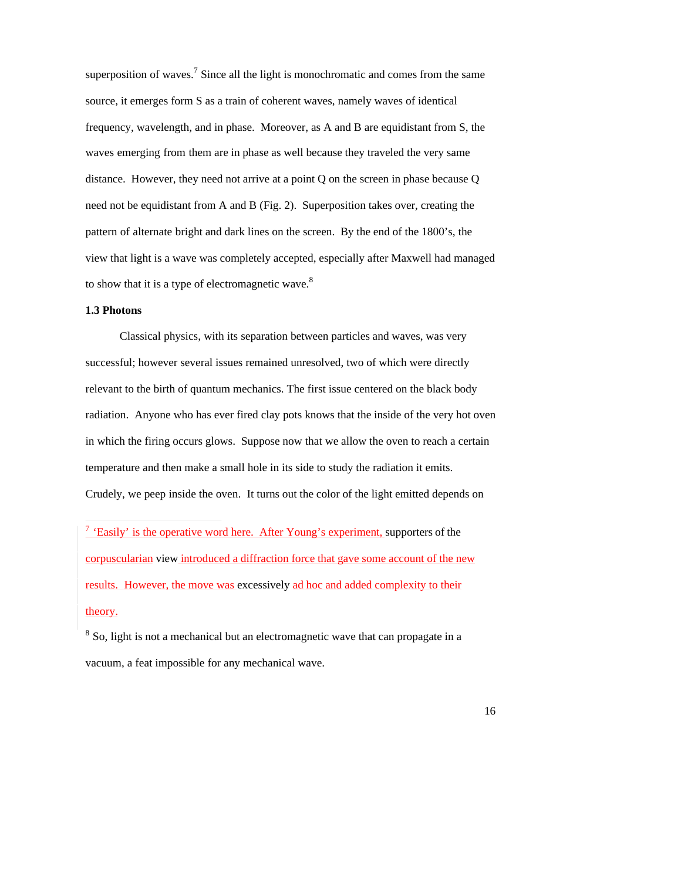superposition of waves.<sup>7</sup> Since all the light is monochromatic and comes from the same source, it emerges form S as a train of coherent waves, namely waves of identical frequency, wavelength, and in phase. Moreover, as A and B are equidistant from S, the waves emerging from them are in phase as well because they traveled the very same distance. However, they need not arrive at a point Q on the screen in phase because Q need not be equidistant from A and B (Fig. 2). Superposition takes over, creating the pattern of alternate bright and dark lines on the screen. By the end of the 1800's, the view that light is a wave was completely accepted, especially after Maxwell had managed to show that it is a type of electromagnetic wave.<sup>8</sup>

## **1.3 Photons**

Classical physics, with its separation between particles and waves, was very successful; however several issues remained unresolved, two of which were directly relevant to the birth of quantum mechanics. The first issue centered on the black body radiation. Anyone who has ever fired clay pots knows that the inside of the very hot oven in which the firing occurs glows. Suppose now that we allow the oven to reach a certain temperature and then make a small hole in its side to study the radiation it emits. Crudely, we peep inside the oven. It turns out the color of the light emitted depends on

<sup>7</sup> 'Easily' is the operative word here. After Young's experiment, supporters of the corpuscularian view introduced a diffraction force that gave some account of the new results. However, the move was excessively ad hoc and added complexity to their theory.

<sup>8</sup> So, light is not a mechanical but an electromagnetic wave that can propagate in a vacuum, a feat impossible for any mechanical wave.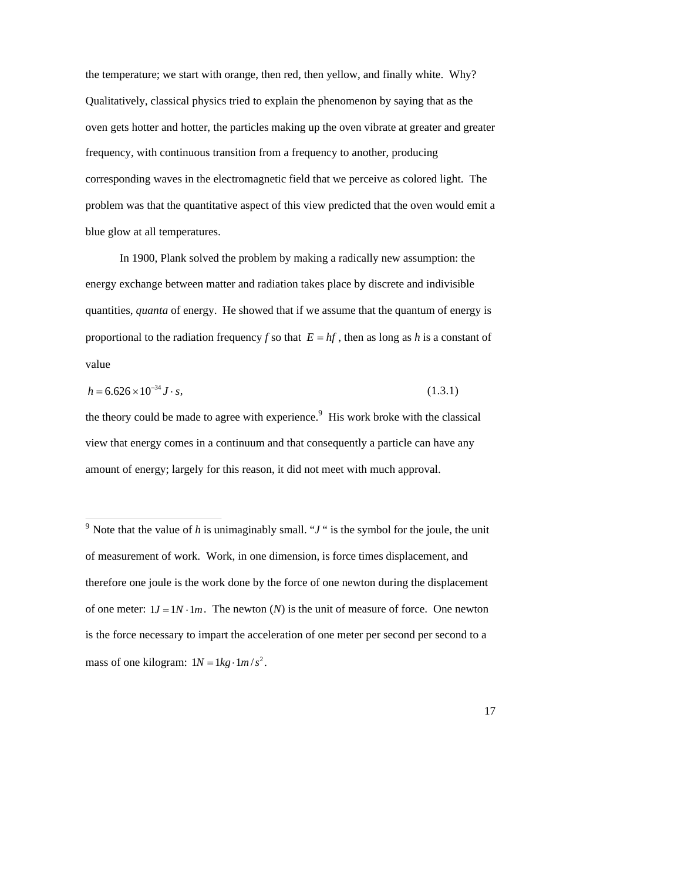the temperature; we start with orange, then red, then yellow, and finally white. Why? Qualitatively, classical physics tried to explain the phenomenon by saying that as the oven gets hotter and hotter, the particles making up the oven vibrate at greater and greater frequency, with continuous transition from a frequency to another, producing corresponding waves in the electromagnetic field that we perceive as colored light. The problem was that the quantitative aspect of this view predicted that the oven would emit a blue glow at all temperatures.

In 1900, Plank solved the problem by making a radically new assumption: the energy exchange between matter and radiation takes place by discrete and indivisible quantities, *quanta* of energy. He showed that if we assume that the quantum of energy is proportional to the radiation frequency *f* so that  $E = hf$ , then as long as *h* is a constant of value

$$
h = 6.626 \times 10^{-34} \,\text{J} \cdot \text{s},\tag{1.3.1}
$$

-

the theory could be made to agree with experience.<sup>9</sup> His work broke with the classical view that energy comes in a continuum and that consequently a particle can have any amount of energy; largely for this reason, it did not meet with much approval.

<sup>&</sup>lt;sup>9</sup> Note that the value of *h* is unimaginably small. " $J$ " is the symbol for the joule, the unit of measurement of work. Work, in one dimension, is force times displacement, and therefore one joule is the work done by the force of one newton during the displacement of one meter:  $1J = 1N \cdot 1m$ . The newton (*N*) is the unit of measure of force. One newton mass of one kilogram:  $1N = 1kg \cdot 1m/s^2$ . is the force necessary to impart the acceleration of one meter per second per second to a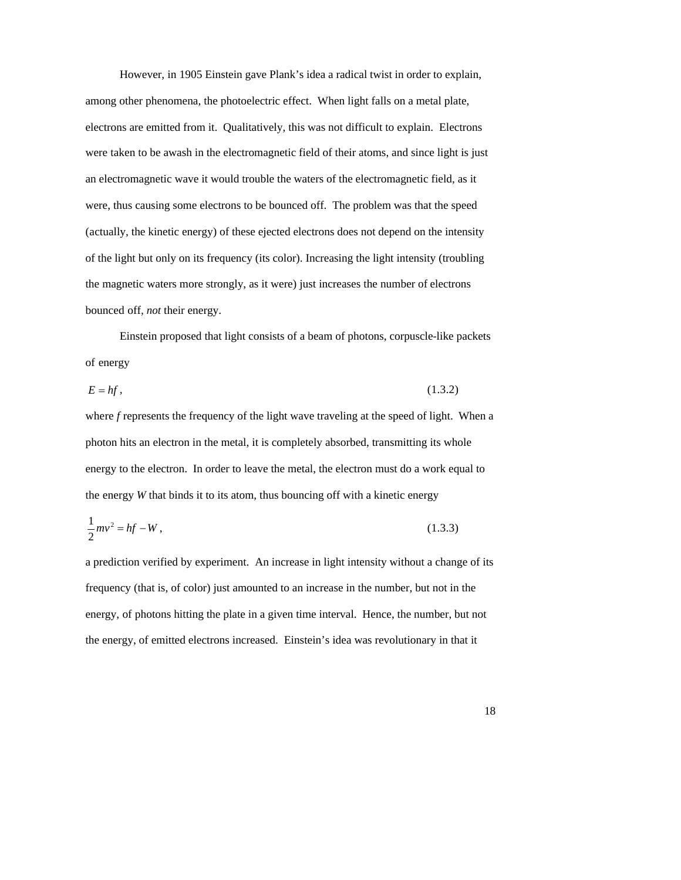However, in 1905 Einstein gave Plank's idea a radical twist in order to explain, among other phenomena, the photoelectric effect. When light falls on a metal plate, electrons are emitted from it. Qualitatively, this was not difficult to explain. Electrons were taken to be awash in the electromagnetic field of their atoms, and since light is just an electromagnetic wave it would trouble the waters of the electromagnetic field, as it were, thus causing some electrons to be bounced off. The problem was that the speed (actually, the kinetic energy) of these ejected electrons does not depend on the intensity of the light but only on its frequency (its color). Increasing the light intensity (troubling the magnetic waters more strongly, as it were) just increases the number of electrons bounced off, *not* their energy.

Einstein proposed that light consists of a beam of photons, corpuscle-like packets of energy

$$
E = hf, \tag{1.3.2}
$$

where *f* represents the frequency of the light wave traveling at the speed of light. When a photon hits an electron in the metal, it is completely absorbed, transmitting its whole energy to the electron. In order to leave the metal, the electron must do a work equal to the energy *W* that binds it to its atom, thus bouncing off with a kinetic energy

$$
\frac{1}{2}mv^2 = hf - W,\tag{1.3.3}
$$

a prediction verified by experiment. An increase in light intensity without a change of its frequency (that is, of color) just amounted to an increase in the number, but not in the energy, of photons hitting the plate in a given time interval. Hence, the number, but not the energy, of emitted electrons increased. Einstein's idea was revolutionary in that it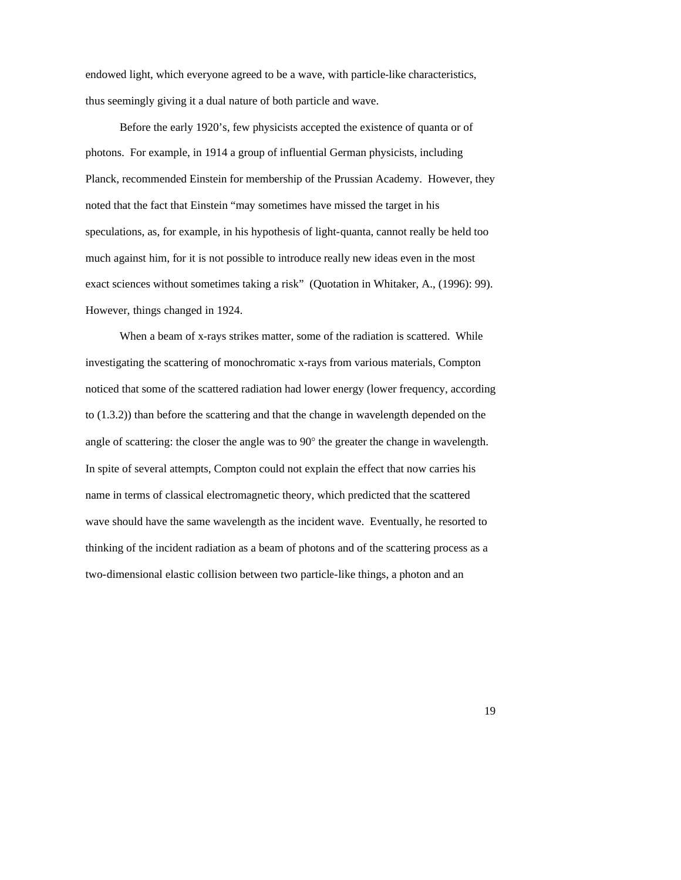endowed light, which everyone agreed to be a wave, with particle-like characteristics, thus seemingly giving it a dual nature of both particle and wave.

Before the early 1920's, few physicists accepted the existence of quanta or of photons. For example, in 1914 a group of influential German physicists, including Planck, recommended Einstein for membership of the Prussian Academy. However, they noted that the fact that Einstein "may sometimes have missed the target in his speculations, as, for example, in his hypothesis of light-quanta, cannot really be held too much against him, for it is not possible to introduce really new ideas even in the most exact sciences without sometimes taking a risk" (Quotation in Whitaker, A., (1996): 99). However, things changed in 1924.

When a beam of x-rays strikes matter, some of the radiation is scattered. While investigating the scattering of monochromatic x-rays from various materials, Compton noticed that some of the scattered radiation had lower energy (lower frequency, according to (1.3.2)) than before the scattering and that the change in wavelength depended on the angle of scattering: the closer the angle was to 90° the greater the change in wavelength. In spite of several attempts, Compton could not explain the effect that now carries his name in terms of classical electromagnetic theory, which predicted that the scattered wave should have the same wavelength as the incident wave. Eventually, he resorted to thinking of the incident radiation as a beam of photons and of the scattering process as a two-dimensional elastic collision between two particle-like things, a photon and an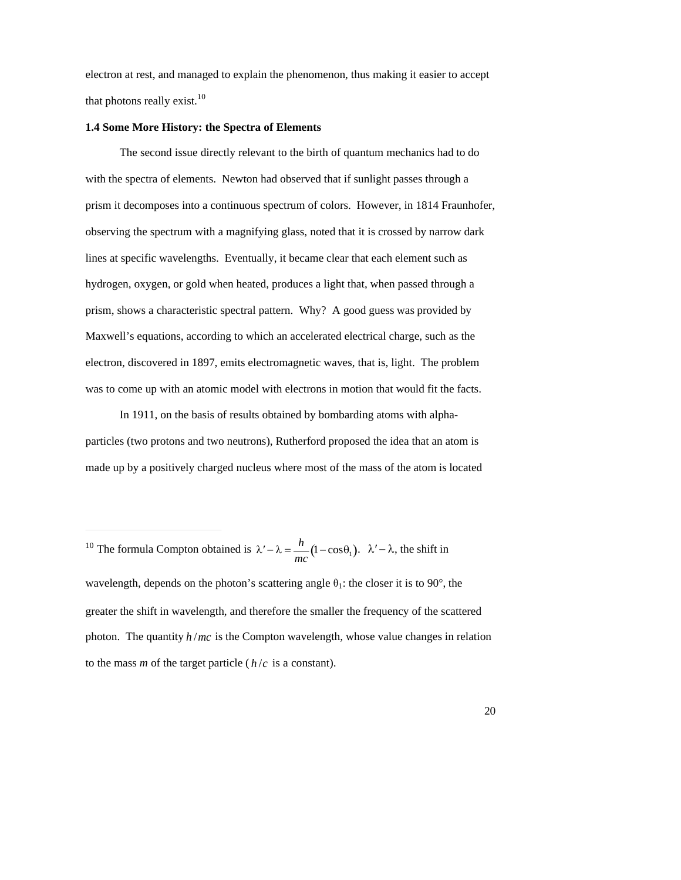electron at rest, and managed to explain the phenomenon, thus making it easier to accept that photons really exist. $10$ 

#### **1.4 Some More History: the Spectra of Elements**

The second issue directly relevant to the birth of quantum mechanics had to do with the spectra of elements. Newton had observed that if sunlight passes through a prism it decomposes into a continuous spectrum of colors. However, in 1814 Fraunhofer, observing the spectrum with a magnifying glass, noted that it is crossed by narrow dark lines at specific wavelengths. Eventually, it became clear that each element such as hydrogen, oxygen, or gold when heated, produces a light that, when passed through a prism, shows a characteristic spectral pattern. Why? A good guess was provided by Maxwell's equations, according to which an accelerated electrical charge, such as the electron, discovered in 1897, emits electromagnetic waves, that is, light. The problem was to come up with an atomic model with electrons in motion that would fit the facts.

In 1911, on the basis of results obtained by bombarding atoms with alphaparticles (two protons and two neutrons), Rutherford proposed the idea that an atom is made up by a positively charged nucleus where most of the mass of the atom is located

-

<sup>&</sup>lt;sup>10</sup> The formula Compton obtained is  $\lambda' - \lambda = \frac{h}{\lambda} (1 - \cos \theta_1)$  $\frac{n}{mc}(1-\cos\theta_1)$ .  $\lambda' - \lambda$ , the shift in

<sup>†</sup>  greater the shift in wavelength, and therefore the smaller the frequency of the scattered wavelength, depends on the photon's scattering angle  $\theta_1$ : the closer it is to 90°, the photon. The quantity *h* /*mc* is the Compton wavelength, whose value changes in relation to the mass  $m$  of the target particle ( $h/c$  is a constant).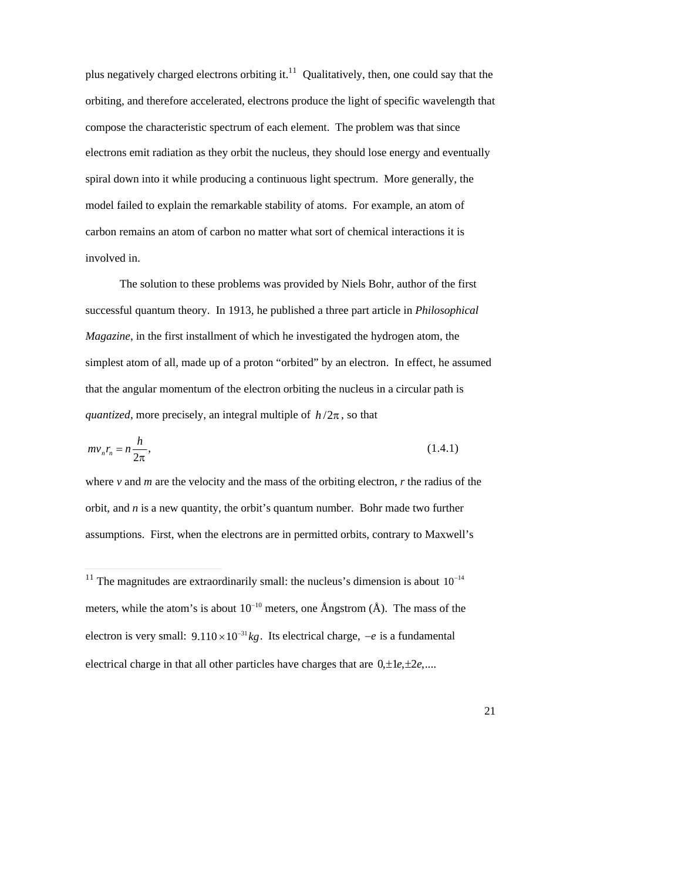plus negatively charged electrons orbiting it.<sup>11</sup> Qualitatively, then, one could say that the orbiting, and therefore accelerated, electrons produce the light of specific wavelength that compose the characteristic spectrum of each element. The problem was that since electrons emit radiation as they orbit the nucleus, they should lose energy and eventually spiral down into it while producing a continuous light spectrum. More generally, the model failed to explain the remarkable stability of atoms. For example, an atom of carbon remains an atom of carbon no matter what sort of chemical interactions it is involved in.

The solution to these problems was provided by Niels Bohr, author of the first successful quantum theory. In 1913, he published a three part article in *Philosophical Magazine*, in the first installment of which he investigated the hydrogen atom, the simplest atom of all, made up of a proton "orbited" by an electron. In effect, he assumed that the angular momentum of the electron orbiting the nucleus in a circular path is *quantized*, more precisely, an integral multiple of  $h/2\pi$ , so that

$$
mv_n r_n = n \frac{h}{2\pi},\tag{1.4.1}
$$

where *v* and *m* are the velocity and the mass of the orbiting electron, *r* the radius of the orbit, and *n* is a new quantity, the orbit's quantum number. Bohr made two further assumptions. First, when the electrons are in permitted orbits, contrary to Maxwell's

-

<sup>&</sup>lt;sup>11</sup> The magnitudes are extraordinarily small: the nucleus's dimension is about  $10^{-14}$ meters, while the atom's is about  $10^{-10}$  meters, one Ångstrom (Å). The mass of the electrical charge in that all other particles have charges that are  $0, \pm 1e, \pm 2e, \dots$ electron is very small:  $9.110 \times 10^{-31}$  *kg*. Its electrical charge,  $-e$  is a fundamental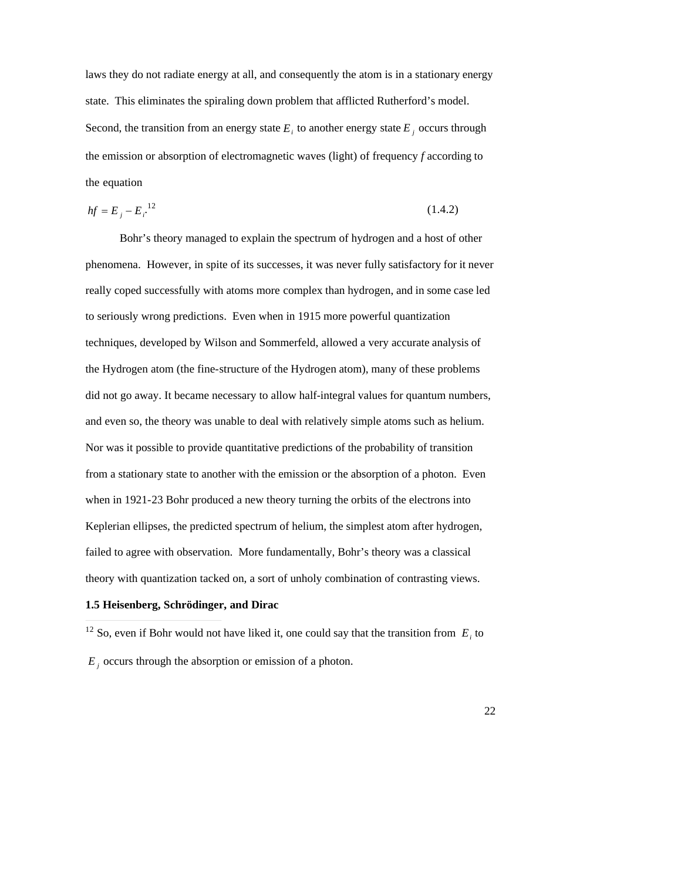laws they do not radiate energy at all, and consequently the atom is in a stationary energy state. This eliminates the spiraling down problem that afflicted Rutherford's model. Second, the transition from an energy state  $E_i$  to another energy state  $E_j$  occurs through the emission or absorption of electromagnetic waves (light) of frequency *f* according to the equation

$$
hf = E_j - E_i^{-12} \tag{1.4.2}
$$

Bohr's theory managed to explain the spectrum of hydrogen and a host of other phenomena. However, in spite of its successes, it was never fully satisfactory for it never really coped successfully with atoms more complex than hydrogen, and in some case led to seriously wrong predictions. Even when in 1915 more powerful quantization techniques, developed by Wilson and Sommerfeld, allowed a very accurate analysis of the Hydrogen atom (the fine-structure of the Hydrogen atom), many of these problems did not go away. It became necessary to allow half-integral values for quantum numbers, and even so, the theory was unable to deal with relatively simple atoms such as helium. Nor was it possible to provide quantitative predictions of the probability of transition from a stationary state to another with the emission or the absorption of a photon. Even when in 1921-23 Bohr produced a new theory turning the orbits of the electrons into Keplerian ellipses, the predicted spectrum of helium, the simplest atom after hydrogen, failed to agree with observation. More fundamentally, Bohr's theory was a classical theory with quantization tacked on, a sort of unholy combination of contrasting views.

# **1.5 Heisenberg, Schrödinger, and Dirac**

-

<sup>12</sup> So, even if Bohr would not have liked it, one could say that the transition from  $E_i$  to

 $E_j$  occurs through the absorption or emission of a photon.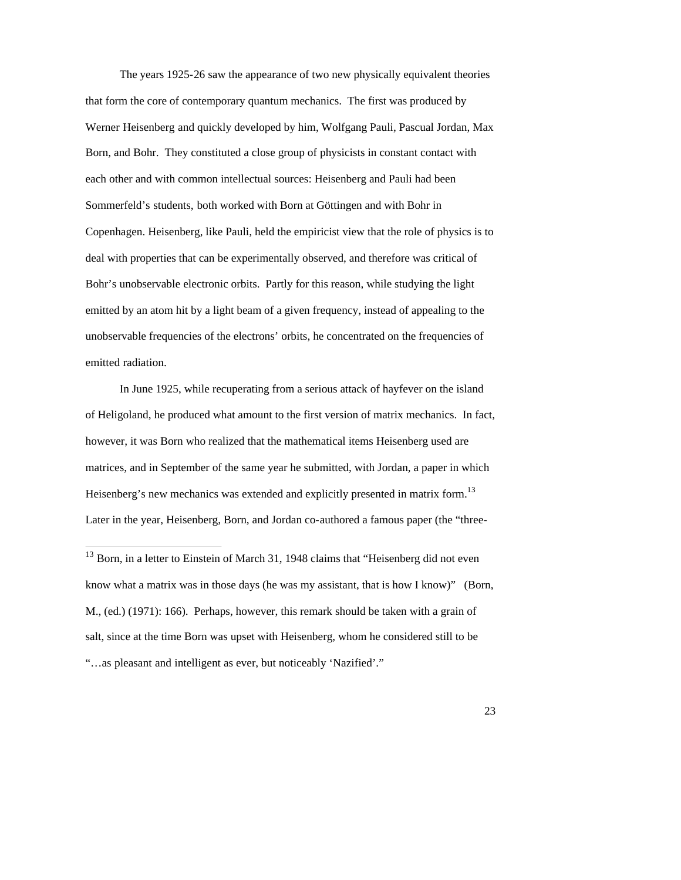The years 1925-26 saw the appearance of two new physically equivalent theories that form the core of contemporary quantum mechanics. The first was produced by Werner Heisenberg and quickly developed by him, Wolfgang Pauli, Pascual Jordan, Max Born, and Bohr. They constituted a close group of physicists in constant contact with each other and with common intellectual sources: Heisenberg and Pauli had been Sommerfeld's students, both worked with Born at Göttingen and with Bohr in Copenhagen. Heisenberg, like Pauli, held the empiricist view that the role of physics is to deal with properties that can be experimentally observed, and therefore was critical of Bohr's unobservable electronic orbits. Partly for this reason, while studying the light emitted by an atom hit by a light beam of a given frequency, instead of appealing to the unobservable frequencies of the electrons' orbits, he concentrated on the frequencies of emitted radiation.

In June 1925, while recuperating from a serious attack of hayfever on the island of Heligoland, he produced what amount to the first version of matrix mechanics. In fact, however, it was Born who realized that the mathematical items Heisenberg used are matrices, and in September of the same year he submitted, with Jordan, a paper in which Heisenberg's new mechanics was extended and explicitly presented in matrix form.<sup>13</sup> Later in the year, Heisenberg, Born, and Jordan co-authored a famous paper (the "three-

-

 $13$  Born, in a letter to Einstein of March 31, 1948 claims that "Heisenberg did not even know what a matrix was in those days (he was my assistant, that is how I know)" (Born, M., (ed.) (1971): 166). Perhaps, however, this remark should be taken with a grain of salt, since at the time Born was upset with Heisenberg, whom he considered still to be "…as pleasant and intelligent as ever, but noticeably 'Nazified'."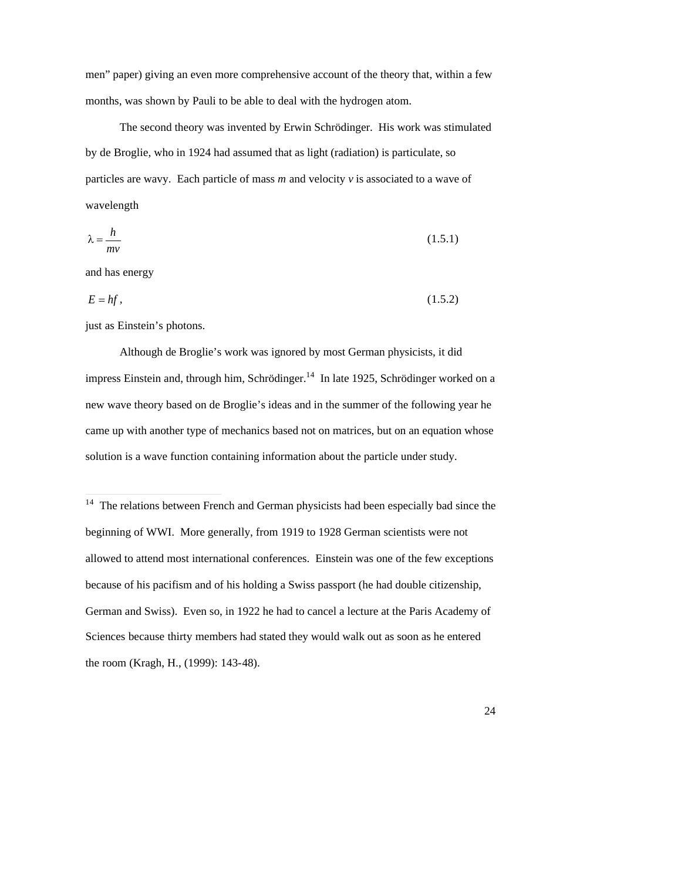men" paper) giving an even more comprehensive account of the theory that, within a few months, was shown by Pauli to be able to deal with the hydrogen atom.

The second theory was invented by Erwin Schrödinger. His work was stimulated by de Broglie, who in 1924 had assumed that as light (radiation) is particulate, so particles are wavy. Each particle of mass *m* and velocity *v* is associated to a wave of wavelength

$$
\lambda = \frac{h}{mv} \tag{1.5.1}
$$

and has energy

-

$$
E = hf, \tag{1.5.2}
$$

just as Einstein's photons.

Although de Broglie's work was ignored by most German physicists, it did impress Einstein and, through him, Schrödinger.<sup>14</sup> In late 1925, Schrödinger worked on a new wave theory based on de Broglie's ideas and in the summer of the following year he came up with another type of mechanics based not on matrices, but on an equation whose solution is a wave function containing information about the particle under study.

 $14$  The relations between French and German physicists had been especially bad since the beginning of WWI. More generally, from 1919 to 1928 German scientists were not allowed to attend most international conferences. Einstein was one of the few exceptions because of his pacifism and of his holding a Swiss passport (he had double citizenship, German and Swiss). Even so, in 1922 he had to cancel a lecture at the Paris Academy of Sciences because thirty members had stated they would walk out as soon as he entered the room (Kragh, H., (1999): 143-48).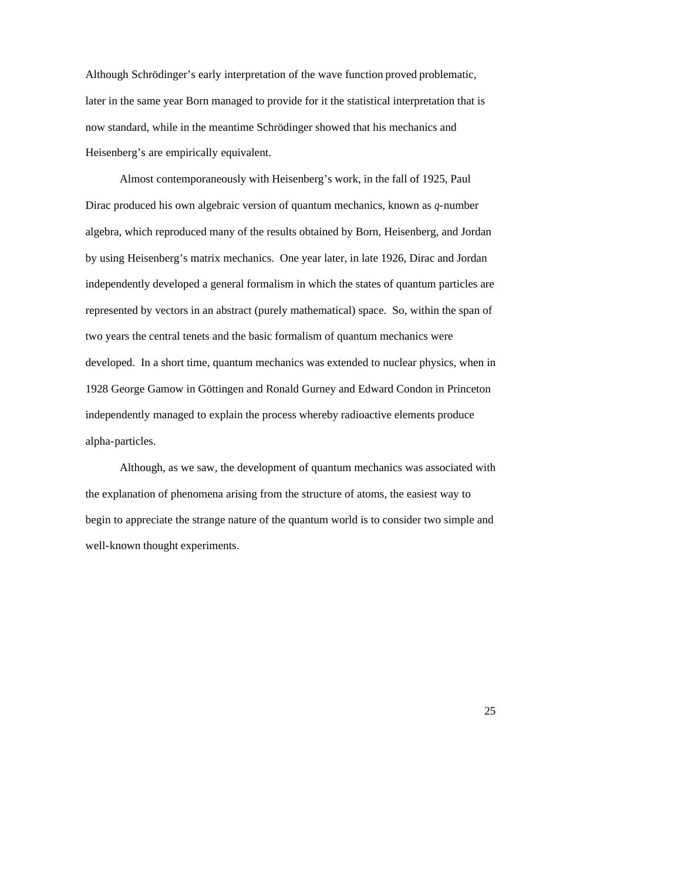Although Schrödinger's early interpretation of the wave function proved problematic, later in the same year Born managed to provide for it the statistical interpretation that is now standard, while in the meantime Schrödinger showed that his mechanics and Heisenberg's are empirically equivalent.

Almost contemporaneously with Heisenberg's work, in the fall of 1925, Paul Dirac produced his own algebraic version of quantum mechanics, known as *q*-number algebra, which reproduced many of the results obtained by Born, Heisenberg, and Jordan by using Heisenberg's matrix mechanics. One year later, in late 1926, Dirac and Jordan independently developed a general formalism in which the states of quantum particles are represented by vectors in an abstract (purely mathematical) space. So, within the span of two years the central tenets and the basic formalism of quantum mechanics were developed. In a short time, quantum mechanics was extended to nuclear physics, when in 1928 George Gamow in Göttingen and Ronald Gurney and Edward Condon in Princeton independently managed to explain the process whereby radioactive elements produce alpha-particles.

Although, as we saw, the development of quantum mechanics was associated with the explanation of phenomena arising from the structure of atoms, the easiest way to begin to appreciate the strange nature of the quantum world is to consider two simple and well-known thought experiments.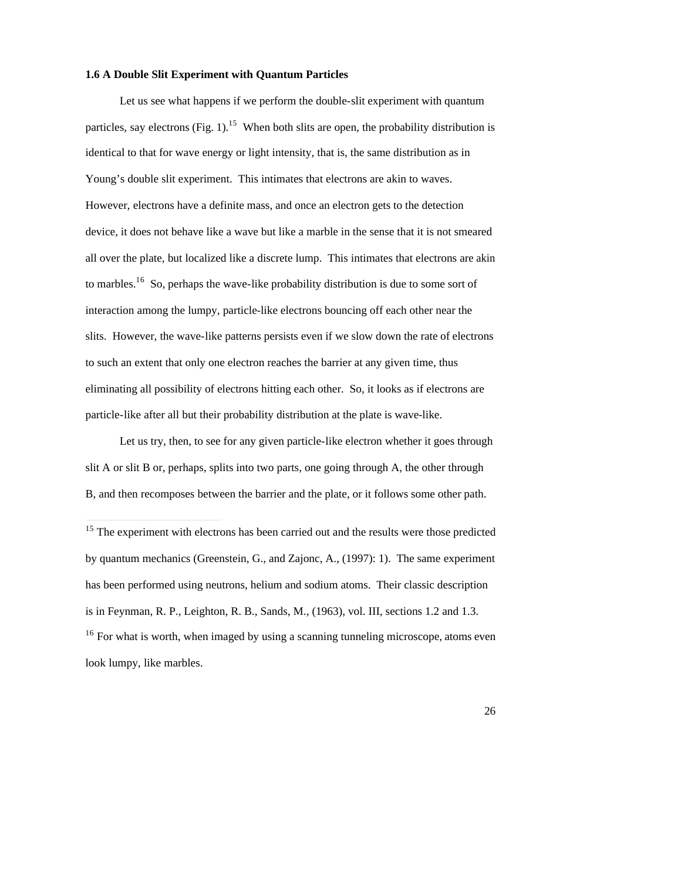## **1.6 A Double Slit Experiment with Quantum Particles**

Let us see what happens if we perform the double-slit experiment with quantum particles, say electrons  $(Fig. 1)$ .<sup>15</sup> When both slits are open, the probability distribution is identical to that for wave energy or light intensity, that is, the same distribution as in Young's double slit experiment. This intimates that electrons are akin to waves. However, electrons have a definite mass, and once an electron gets to the detection device, it does not behave like a wave but like a marble in the sense that it is not smeared all over the plate, but localized like a discrete lump. This intimates that electrons are akin to marbles.<sup>16</sup> So, perhaps the wave-like probability distribution is due to some sort of interaction among the lumpy, particle-like electrons bouncing off each other near the slits. However, the wave-like patterns persists even if we slow down the rate of electrons to such an extent that only one electron reaches the barrier at any given time, thus eliminating all possibility of electrons hitting each other. So, it looks as if electrons are particle-like after all but their probability distribution at the plate is wave-like.

Let us try, then, to see for any given particle-like electron whether it goes through slit A or slit B or, perhaps, splits into two parts, one going through A, the other through B, and then recomposes between the barrier and the plate, or it follows some other path.

 $\overline{1}$ 

<sup>&</sup>lt;sup>15</sup> The experiment with electrons has been carried out and the results were those predicted by quantum mechanics (Greenstein, G., and Zajonc, A., (1997): 1). The same experiment has been performed using neutrons, helium and sodium atoms. Their classic description is in Feynman, R. P., Leighton, R. B., Sands, M., (1963), vol. III, sections 1.2 and 1.3. <sup>16</sup> For what is worth, when imaged by using a scanning tunneling microscope, atoms even look lumpy, like marbles.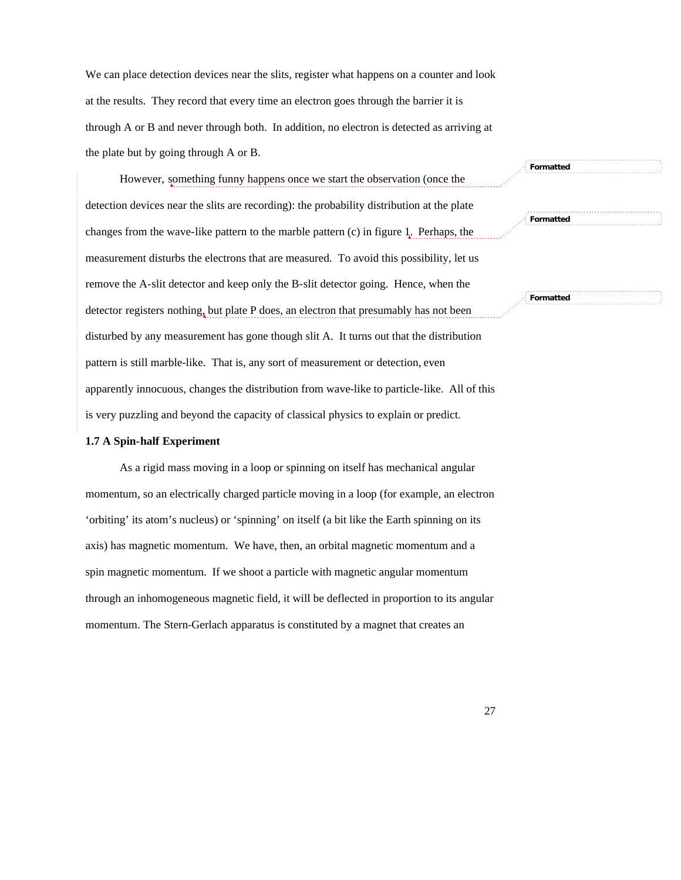We can place detection devices near the slits, register what happens on a counter and look at the results. They record that every time an electron goes through the barrier it is through A or B and never through both. In addition, no electron is detected as arriving at the plate but by going through A or B.

However, something funny happens once we start the observation (once the detection devices near the slits are recording): the probability distribution at the plate changes from the wave-like pattern to the marble pattern (c) in figure 1. Perhaps, the measurement disturbs the electrons that are measured. To avoid this possibility, let us remove the A-slit detector and keep only the B-slit detector going. Hence, when the detector registers nothing, but plate P does, an electron that presumably has not been disturbed by any measurement has gone though slit A. It turns out that the distribution pattern is still marble-like. That is, any sort of measurement or detection, even apparently innocuous, changes the distribution from wave-like to particle-like. All of this is very puzzling and beyond the capacity of classical physics to explain or predict.

#### **1.7 A Spin-half Experiment**

As a rigid mass moving in a loop or spinning on itself has mechanical angular momentum, so an electrically charged particle moving in a loop (for example, an electron 'orbiting' its atom's nucleus) or 'spinning' on itself (a bit like the Earth spinning on its axis) has magnetic momentum. We have, then, an orbital magnetic momentum and a spin magnetic momentum. If we shoot a particle with magnetic angular momentum through an inhomogeneous magnetic field, it will be deflected in proportion to its angular momentum. The Stern-Gerlach apparatus is constituted by a magnet that creates an

**Formatted**

**Formatted**

**Formatted**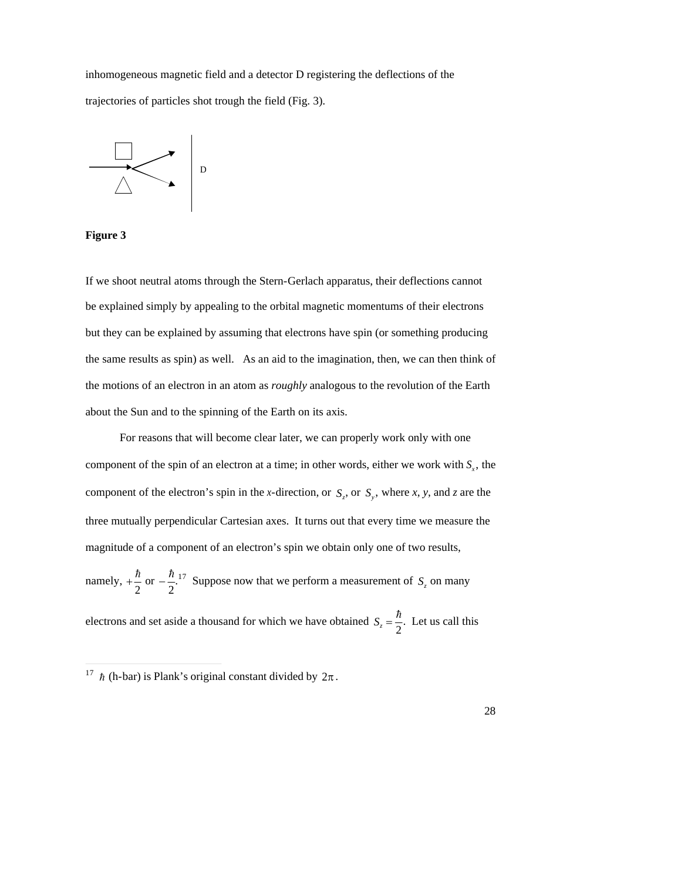inhomogeneous magnetic field and a detector D registering the deflections of the trajectories of particles shot trough the field (Fig. 3).



**Figure 3**

If we shoot neutral atoms through the Stern-Gerlach apparatus, their deflections cannot be explained simply by appealing to the orbital magnetic momentums of their electrons but they can be explained by assuming that electrons have spin (or something producing the same results as spin) as well. As an aid to the imagination, then, we can then think of the motions of an electron in an atom as *roughly* analogous to the revolution of the Earth about the Sun and to the spinning of the Earth on its axis.

For reasons that will become clear later, we can properly work only with one component of the spin of an electron at a time; in other words, either we work with *S<sup>x</sup>* , the three mutually perpendicular Cartesian axes. It turns out that every time we measure the component of the electron's spin in the *x*-direction, or  $S_z$ , or  $S_y$ , where *x*, *y*, and *z* are the magnitude of a component of an electron's spin we obtain only one of two results,

namely,  $+\frac{\hbar}{2}$  or  $-\frac{\hbar}{2}$ .<sup>17</sup> 2 2 or  $-\frac{\hbar}{2}$ .<sup>17</sup> Suppo 2<sup>11</sup> <sup>17</sup> Suppose now that we perform a measurement of  $S_z$  on many

 $\ddot{\hspace{1cm}}$  2 electrons and set aside a thousand for which we have obtained  $S_z = \frac{\hbar}{2}$ . Let us can 2 . Let us call this

 $2\pi$ .  $\frac{17}{h}$  (h-bar) is Plank's original constant divided by  $2\pi$ .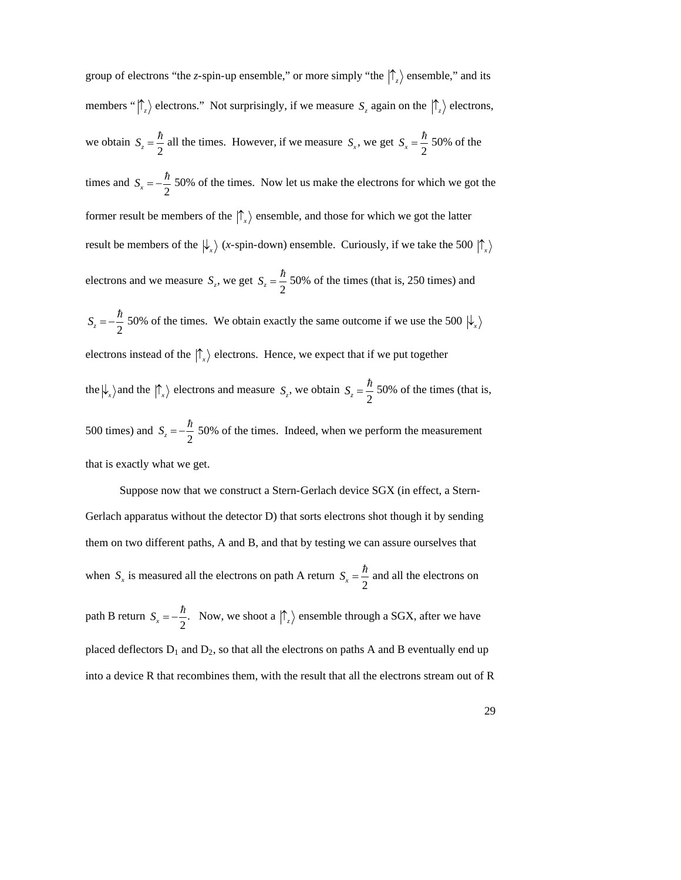group of electrons "the *z*-spin-up ensemble," or more simply "the  $|\uparrow_z\rangle$  ensemble," and its members " $\left|\int_{z}\right\rangle$  electrons." Not surprisingly, if we measure  $S_z$  again on the  $\left|\int_{z}\right\rangle$  electrons, we obtain  $S_z = \frac{\hbar}{2}$  all the tim 2 all the times. However, if we measure  $S_x$ , we get  $S_x = \frac{\hbar}{2}$  50% of th 2 50% of the times and  $S_x = -\frac{\hbar}{2}$  50% of th result be members of the  $\ket{\downarrow_x}$  (*x*-spin-down) ensemble. Curiously, if we take the 500  $\ket{\uparrow_x}$ 2 50% of the times. Now let us make the electrons for which we got the former result be members of the  $|\uparrow_x\rangle$  ensemble, and those for which we got the latter electrons and we measure  $S_z$ , we get  $S_z = \frac{\hbar}{2}$  50% of the  $S_z = -\frac{\hbar}{2}$  50% of the tim 2 50% of the times (that is, 250 times) and 2 50% of the times. We obtain exactly the same outcome if we use the 500  $\ket{\psi_x}$ electrons instead of the  $|\uparrow_x\rangle$  electrons. Hence, we expect that if we put together the  $\psi_x$  and the  $\ket{\uparrow_x}$  electrons and measure  $S_z$ , we obtain  $S_z = \frac{\hbar}{2}$  50% of th  $\frac{1}{2}$   $\frac{1}{2}$ 2 50% of the times (that is, 500 times) and  $S_z = -\frac{\hbar}{2}$  50% of the 2 50% of the times. Indeed, when we perform the measurement that is exactly what we get.

Suppose now that we construct a Stern-Gerlach device SGX (in effect, a Stern-Gerlach apparatus without the detector D) that sorts electrons shot though it by sending them on two different paths, A and B, and that by testing we can assure ourselves that when  $S_x$  is measured all the electrons on path A return  $S_x = \frac{\hbar}{2}$  and all the  $\mathbf{f}$ 2 and all the electrons on path B return  $S_x = -\frac{\hbar}{2}$ . Now, w a device R that recombines them.  $\nu$ 2 Now, we shoot a  $|\uparrow_z\rangle$  ensemble through a SGX, after we have placed deflectors  $D_1$  and  $D_2$ , so that all the electrons on paths A and B eventually end up into a device R that recombines them, with the result that all the electrons stream out of R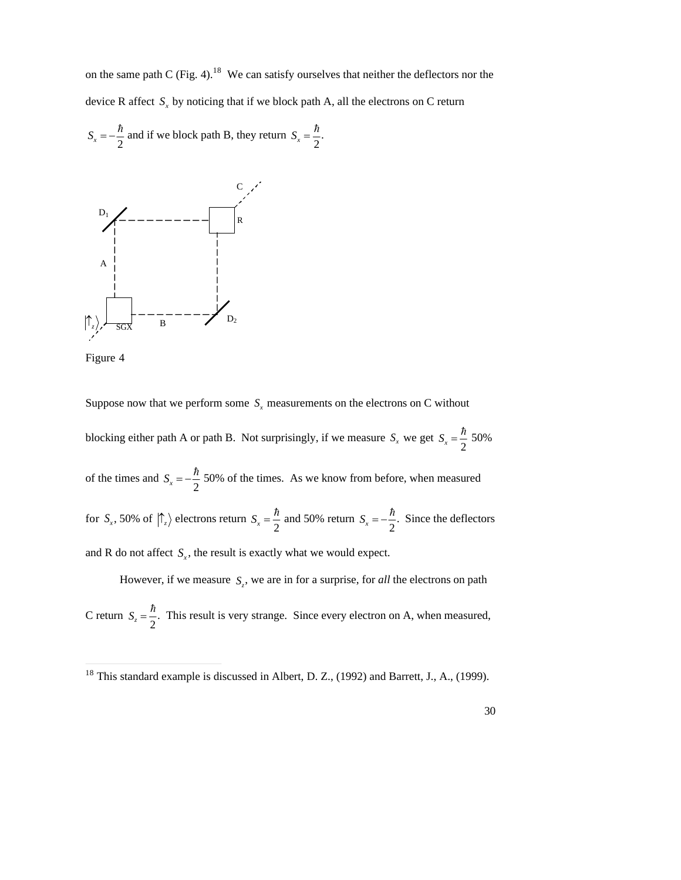on the same path C (Fig. 4).<sup>18</sup> We can satisfy ourselves that neither the deflectors nor the device R affect  $S<sub>x</sub>$  by noticing that if we block path A, all the electrons on C return

$$
S_x = -\frac{\hbar}{2}
$$
 and if we block path B, they return  $S_x = \frac{\hbar}{2}$ .





Suppose now that we perform some  $S<sub>x</sub>$  measurements on the electrons on C without

blocking either path A or path B. Not surprisingly, if we measure  $S_x$  we get  $S_x = \frac{\hbar}{2}$  50% of the times and  $S_x = -\frac{h}{2}$  50% of the times. As we know from b 2 50% 2 50% of the times. As we know from before, when measured for  $S_x$ , 50% of  $\left\langle \uparrow_z \right\rangle$  electrons return  $S_x = \frac{\hbar}{2}$  and 50% 2 and 50% return  $S_x = -\frac{\hbar}{2}$ . Since the 2 . Since the deflectors and R do not affect  $S<sub>x</sub>$ , the result is exactly what we would expect.

However, if we measure  $S_z$ , we are in for a surprise, for *all* the electrons on path  $\hbar$ C return  $S_z = \frac{\hbar}{2}$ . This res 2 . This result is very strange. Since every electron on A, when measured,

 $\frac{18}{18}$  This  $18$  This standard example is discussed in Albert, D. Z., (1992) and Barrett, J., A., (1999).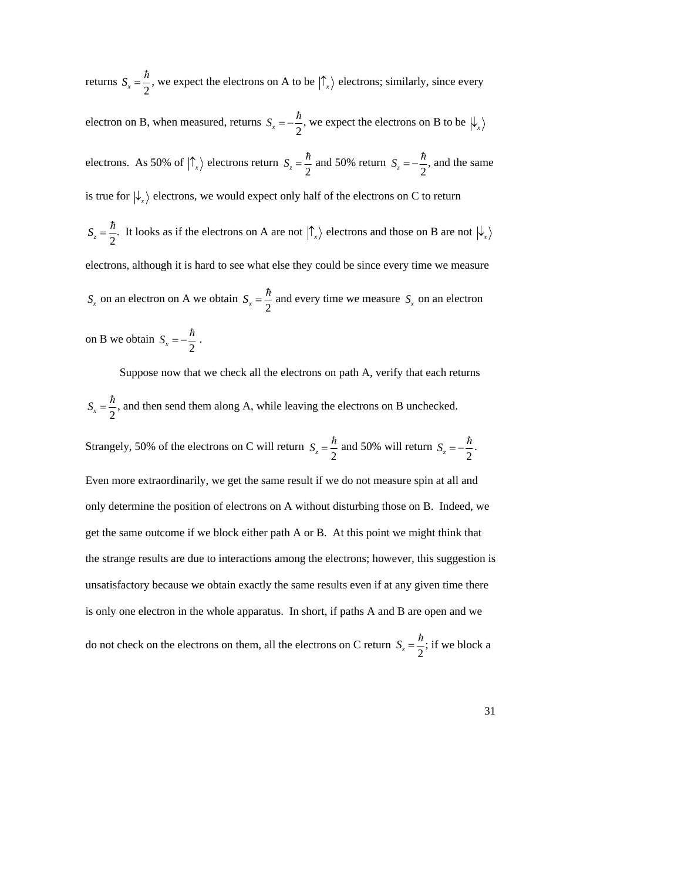returns  $S_x = \frac{\hbar}{2}$ , we exped  $2^{7}$ , we expect the electrons on A to be  $|\uparrow_x\rangle$  electrons; similarly, since every

 $\sim$  2 electron on B, when measured, returns  $S_x = -\frac{\hbar}{2}$ , we expect  $\begin{pmatrix} 2 & 2 \end{pmatrix}$  $2^{7}$ , we expect the electrons on B to be  $\ket{\downarrow_x}$ electrons. As 50% of  $|\hat{\Gamma}_x\rangle$  electrons return  $S_z = \frac{\hbar}{2}$  and 50% 2 and 50% return  $S_z = -\frac{\hbar}{2}$ , and the s  $2^{7}$ , and the same is true for  $\ket{\downarrow_x}$  electrons, we would expect only half of the electrons on C to return  $S_z = \frac{\hbar}{2}$ . It looks 2 . It looks as if the electrons on A are not  $\ket{\uparrow}_x$  electrons and those on B are not  $\ket{\downarrow}_x$ † 1950)<br>1950 – Alexandr Holly, fransk politiker<br>1950 – Alexandr Holly, fransk politiker electrons, although it is hard to see what else they could be since every time we measure  $S_x$  on an electron on A we obtain  $S_x = \frac{\hbar}{2}$  and every 2 and every time we measure  $S<sub>x</sub>$  on an electron on B we obtain  $S_x = -\frac{\hbar}{2}$ . 2 .

 $\hbar$ Suppose now that we check all the electrons on path A, verify that each returns  $S_x = \frac{\hbar}{2}$ , and then  $2^{7}$ , and then send them along A, while leaving the electrons on B unchecked.

Strangely, 50% of the electrons on C will return  $S_z = \frac{\hbar}{2}$  and 50% only determine the position of electrons on A without disturbing those on B. Indeed, we 2 and 50% will return  $S_z = -\frac{\hbar}{2}$ . 2 . Even more extraordinarily, we get the same result if we do not measure spin at all and get the same outcome if we block either path A or B. At this point we might think that the strange results are due to interactions among the electrons; however, this suggestion is unsatisfactory because we obtain exactly the same results even if at any given time there is only one electron in the whole apparatus. In short, if paths A and B are open and we do not check on the electrons on them, all the electrons on C return  $S_z = \frac{\hbar}{2}$ ; if we blo  $2^{7}$ ; if we block a